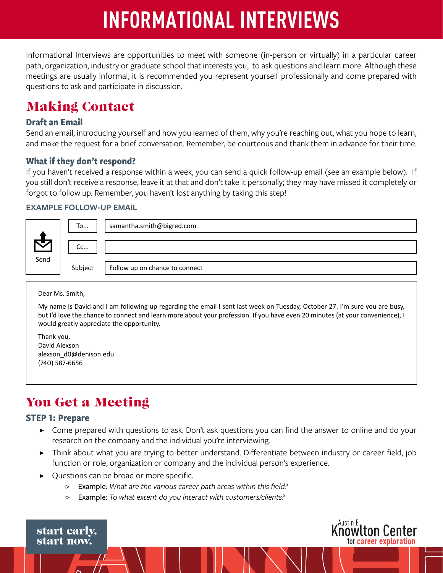# **INFORMATIONAL INTERVIEWS**

Informational Interviews are opportunities to meet with someone (in-person or virtually) in a particular career path, organization, industry or graduate school that interests you, to ask questions and learn more. Although these meetings are usually informal, it is recommended you represent yourself professionally and come prepared with questions to ask and participate in discussion.

# Making Contact

## **Draft an Email**

Send an email, introducing yourself and how you learned of them, why you're reaching out, what you hope to learn, and make the request for a brief conversation. Remember, be courteous and thank them in advance for their time.

## **What if they don't respond?**

If you haven't received a response within a week, you can send a quick follow-up email (see an example below). If you still don't receive a response, leave it at that and don't take it personally; they may have missed it completely or forgot to follow up. Remember, you haven't lost anything by taking this step!

#### **EXAMPLE FOLLOW-UP EMAIL**



Dear Ms. Smith,

My name is David and I am following up regarding the email I sent last week on Tuesday, October 27. I'm sure you are busy, but I'd love the chance to connect and learn more about your profession. If you have even 20 minutes (at your convenience), I would greatly appreciate the opportunity.

Thank you, David Alexson alexson\_d0@denison.edu (740) 587-6656

# You Get a Meeting

#### **STEP 1: Prepare**

- ▶ Come prepared with questions to ask. Don't ask questions you can find the answer to online and do your research on the company and the individual you're interviewing.
- ▶ Think about what you are trying to better understand. Differentiate between industry or career field, job function or role, organization or company and the individual person's experience.

,Austin E.

**Knowtton Center** 

for career exploration

- Questions can be broad or more specific.
	- ▷ Example: *What are the various career path areas within this field?*
	- ▷ Example: *To what extent do you interact with customers/clients?*

start early. start now.